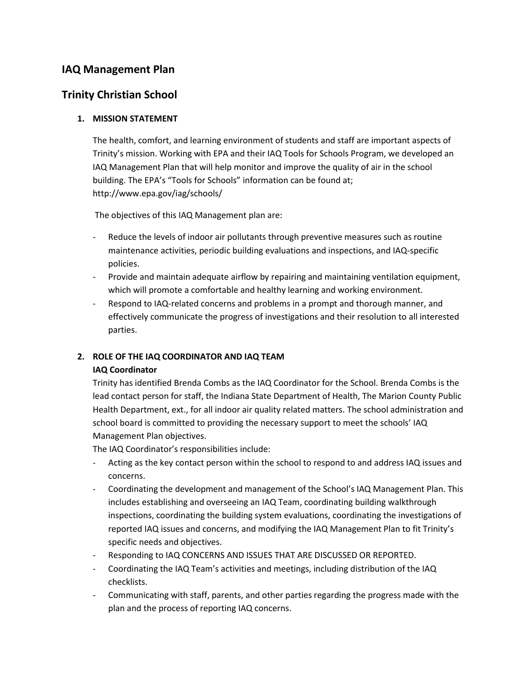# **IAQ Management Plan**

## **Trinity Christian School**

### **1. MISSION STATEMENT**

The health, comfort, and learning environment of students and staff are important aspects of Trinity's mission. Working with EPA and their IAQ Tools for Schools Program, we developed an IAQ Management Plan that will help monitor and improve the quality of air in the school building. The EPA's "Tools for Schools" information can be found at; http://www.epa.gov/iag/schools/

The objectives of this IAQ Management plan are:

- Reduce the levels of indoor air pollutants through preventive measures such as routine maintenance activities, periodic building evaluations and inspections, and IAQ-specific policies.
- Provide and maintain adequate airflow by repairing and maintaining ventilation equipment, which will promote a comfortable and healthy learning and working environment.
- Respond to IAQ-related concerns and problems in a prompt and thorough manner, and effectively communicate the progress of investigations and their resolution to all interested parties.

## **2. ROLE OF THE IAQ COORDINATOR AND IAQ TEAM**

#### **IAQ Coordinator**

Trinity has identified Brenda Combs as the IAQ Coordinator for the School. Brenda Combs is the lead contact person for staff, the Indiana State Department of Health, The Marion County Public Health Department, ext., for all indoor air quality related matters. The school administration and school board is committed to providing the necessary support to meet the schools' IAQ Management Plan objectives.

The IAQ Coordinator's responsibilities include:

- Acting as the key contact person within the school to respond to and address IAQ issues and concerns.
- Coordinating the development and management of the School's IAQ Management Plan. This includes establishing and overseeing an IAQ Team, coordinating building walkthrough inspections, coordinating the building system evaluations, coordinating the investigations of reported IAQ issues and concerns, and modifying the IAQ Management Plan to fit Trinity's specific needs and objectives.
- Responding to IAQ CONCERNS AND ISSUES THAT ARE DISCUSSED OR REPORTED.
- Coordinating the IAQ Team's activities and meetings, including distribution of the IAQ checklists.
- Communicating with staff, parents, and other parties regarding the progress made with the plan and the process of reporting IAQ concerns.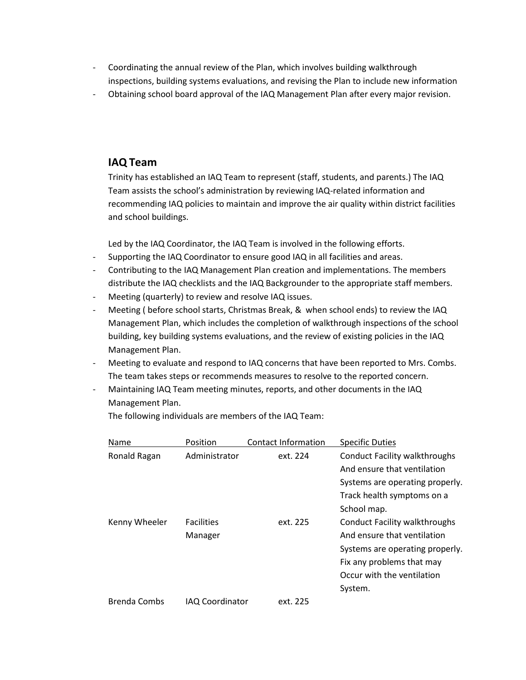- Coordinating the annual review of the Plan, which involves building walkthrough inspections, building systems evaluations, and revising the Plan to include new information
- Obtaining school board approval of the IAQ Management Plan after every major revision.

# **IAQ Team**

Trinity has established an IAQ Team to represent (staff, students, and parents.) The IAQ Team assists the school's administration by reviewing IAQ-related information and recommending IAQ policies to maintain and improve the air quality within district facilities and school buildings.

Led by the IAQ Coordinator, the IAQ Team is involved in the following efforts.

- Supporting the IAQ Coordinator to ensure good IAQ in all facilities and areas.
- Contributing to the IAQ Management Plan creation and implementations. The members distribute the IAQ checklists and the IAQ Backgrounder to the appropriate staff members.
- Meeting (quarterly) to review and resolve IAQ issues.
- Meeting ( before school starts, Christmas Break, & when school ends) to review the IAQ Management Plan, which includes the completion of walkthrough inspections of the school building, key building systems evaluations, and the review of existing policies in the IAQ Management Plan.
- Meeting to evaluate and respond to IAQ concerns that have been reported to Mrs. Combs. The team takes steps or recommends measures to resolve to the reported concern.
- Maintaining IAQ Team meeting minutes, reports, and other documents in the IAQ Management Plan.

Name Position Contact Information Specific Duties Ronald Ragan Administrator ext. 224 Conduct Facility walkthroughs And ensure that ventilation Systems are operating properly. Track health symptoms on a School map. Kenny Wheeler Facilities ext. 225 Conduct Facility walkthroughs Manager Manager And ensure that ventilation Systems are operating properly. Fix any problems that may Occur with the ventilation System. Brenda Combs IAQ Coordinator ext. 225

The following individuals are members of the IAQ Team: